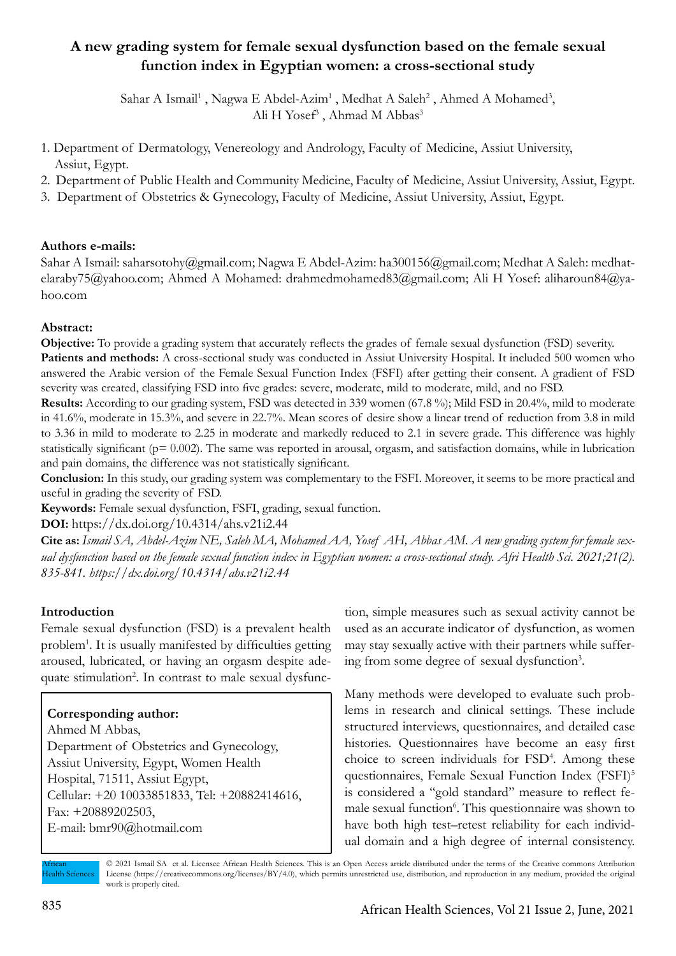# **A new grading system for female sexual dysfunction based on the female sexual function index in Egyptian women: a cross-sectional study**

Sahar A Ismail<sup>1</sup>, Nagwa E Abdel-Azim<sup>1</sup>, Medhat A Saleh<sup>2</sup>, Ahmed A Mohamed<sup>3</sup>, Ali H Yosef<sup>3</sup>, Ahmad M Abbas<sup>3</sup>

- 1. Department of Dermatology, Venereology and Andrology, Faculty of Medicine, Assiut University, Assiut, Egypt.
- 2. Department of Public Health and Community Medicine, Faculty of Medicine, Assiut University, Assiut, Egypt.
- 3. Department of Obstetrics & Gynecology, Faculty of Medicine, Assiut University, Assiut, Egypt.

### **Authors e-mails:**

Sahar A Ismail: saharsotohy@gmail.com; Nagwa E Abdel-Azim: ha300156@gmail.com; Medhat A Saleh: medhatelaraby75@yahoo.com; Ahmed A Mohamed: drahmedmohamed83@gmail.com; Ali H Yosef: aliharoun84@yahoo.com

# **Abstract:**

**Objective:** To provide a grading system that accurately reflects the grades of female sexual dysfunction (FSD) severity.

**Patients and methods:** A cross-sectional study was conducted in Assiut University Hospital. It included 500 women who answered the Arabic version of the Female Sexual Function Index (FSFI) after getting their consent. A gradient of FSD severity was created, classifying FSD into five grades: severe, moderate, mild to moderate, mild, and no FSD.

**Results:** According to our grading system, FSD was detected in 339 women (67.8 %); Mild FSD in 20.4%, mild to moderate in 41.6%, moderate in 15.3%, and severe in 22.7%. Mean scores of desire show a linear trend of reduction from 3.8 in mild to 3.36 in mild to moderate to 2.25 in moderate and markedly reduced to 2.1 in severe grade. This difference was highly statistically significant ( $p= 0.002$ ). The same was reported in arousal, orgasm, and satisfaction domains, while in lubrication and pain domains, the difference was not statistically significant.

**Conclusion:** In this study, our grading system was complementary to the FSFI. Moreover, it seems to be more practical and useful in grading the severity of FSD.

**Keywords:** Female sexual dysfunction, FSFI, grading, sexual function.

**DOI:** https://dx.doi.org/10.4314/ahs.v21i2.44

**Cite as:** *Ismail SA, Abdel-Azim NE, Saleh MA, Mohamed AA, Yosef AH, Abbas AM. A new grading system for female sexual dysfunction based on the female sexual function index in Egyptian women: a cross-sectional study. Afri Health Sci. 2021;21(2). 835-841. https://dx.doi.org/10.4314/ahs.v21i2.44*

# **Introduction**

Female sexual dysfunction (FSD) is a prevalent health problem<sup>1</sup>. It is usually manifested by difficulties getting aroused, lubricated, or having an orgasm despite adequate stimulation<sup>2</sup>. In contrast to male sexual dysfunc-

# **Corresponding author:**

Ahmed M Abbas, Department of Obstetrics and Gynecology, Assiut University, Egypt, Women Health Hospital, 71511, Assiut Egypt, Cellular: +20 10033851833, Tel: +20882414616, Fax: +20889202503, E-mail: bmr90@hotmail.com

tion, simple measures such as sexual activity cannot be used as an accurate indicator of dysfunction, as women may stay sexually active with their partners while suffering from some degree of sexual dysfunction<sup>3</sup>.

Many methods were developed to evaluate such problems in research and clinical settings. These include structured interviews, questionnaires, and detailed case histories. Questionnaires have become an easy first choice to screen individuals for FSD4 . Among these questionnaires, Female Sexual Function Index (FSFI)<sup>5</sup> is considered a ''gold standard'' measure to reflect female sexual function<sup>6</sup>. This questionnaire was shown to have both high test–retest reliability for each individual domain and a high degree of internal consistency.

African Health Sciences

<sup>© 2021</sup> Ismail SA et al. Licensee African Health Sciences. This is an Open Access article distributed under the terms of the Creative commons Attribution License (https://creativecommons.org/licenses/BY/4.0), which permits unrestricted use, distribution, and reproduction in any medium, provided the original work is properly cited.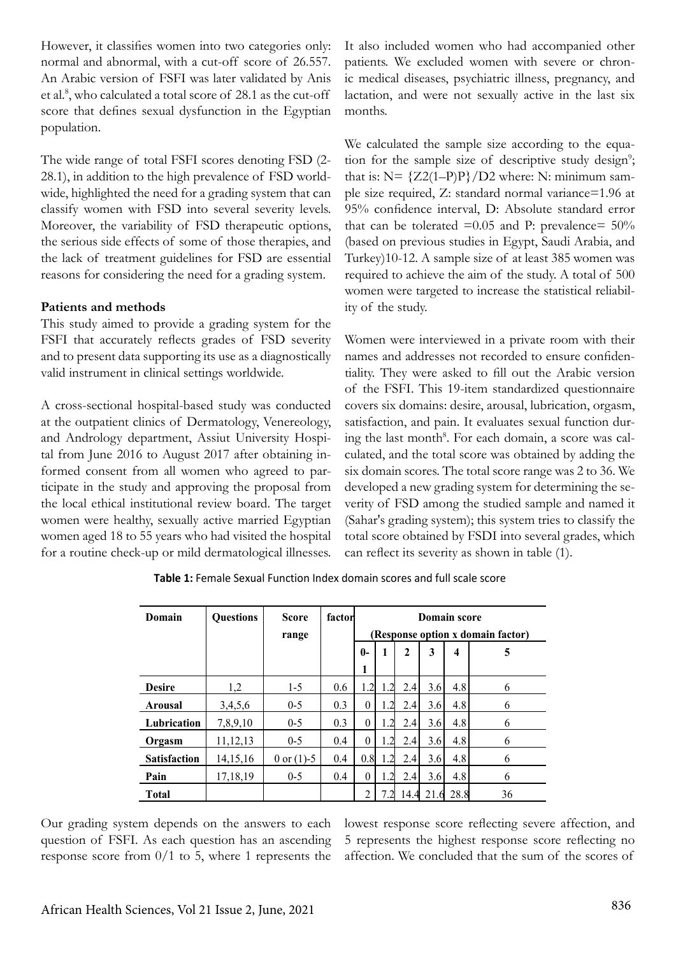However, it classifies women into two categories only: normal and abnormal, with a cut-off score of 26.557. An Arabic version of FSFI was later validated by Anis et al.<sup>8</sup>, who calculated a total score of 28.1 as the cut-off score that defines sexual dysfunction in the Egyptian population.

The wide range of total FSFI scores denoting FSD (2- 28.1), in addition to the high prevalence of FSD worldwide, highlighted the need for a grading system that can classify women with FSD into several severity levels. Moreover, the variability of FSD therapeutic options, the serious side effects of some of those therapies, and the lack of treatment guidelines for FSD are essential reasons for considering the need for a grading system.

### **Patients and methods**

This study aimed to provide a grading system for the FSFI that accurately reflects grades of FSD severity and to present data supporting its use as a diagnostically valid instrument in clinical settings worldwide.

A cross-sectional hospital-based study was conducted at the outpatient clinics of Dermatology, Venereology, and Andrology department, Assiut University Hospital from June 2016 to August 2017 after obtaining informed consent from all women who agreed to participate in the study and approving the proposal from the local ethical institutional review board. The target women were healthy, sexually active married Egyptian women aged 18 to 55 years who had visited the hospital for a routine check-up or mild dermatological illnesses.

It also included women who had accompanied other patients. We excluded women with severe or chronic medical diseases, psychiatric illness, pregnancy, and lactation, and were not sexually active in the last six months.

We calculated the sample size according to the equation for the sample size of descriptive study design<sup>9</sup>; that is:  $N = \{Z2(1-P)P\}/D2$  where: N: minimum sample size required, Z: standard normal variance=1.96 at 95% confidence interval, D: Absolute standard error that can be tolerated  $=0.05$  and P: prevalence=  $50\%$ (based on previous studies in Egypt, Saudi Arabia, and Turkey)10-12. A sample size of at least 385 women was required to achieve the aim of the study. A total of 500 women were targeted to increase the statistical reliability of the study.

Women were interviewed in a private room with their names and addresses not recorded to ensure confidentiality. They were asked to fill out the Arabic version of the FSFI. This 19-item standardized questionnaire covers six domains: desire, arousal, lubrication, orgasm, satisfaction, and pain. It evaluates sexual function during the last month<sup>8</sup>. For each domain, a score was calculated, and the total score was obtained by adding the six domain scores. The total score range was 2 to 36. We developed a new grading system for determining the severity of FSD among the studied sample and named it (Sahar's grading system); this system tries to classify the total score obtained by FSDI into several grades, which can reflect its severity as shown in table (1).

| Domain              | <b>Ouestions</b> | <b>Score</b><br>range | factor | Domain score<br>(Response option x domain factor) |                |      |      |      |    |
|---------------------|------------------|-----------------------|--------|---------------------------------------------------|----------------|------|------|------|----|
|                     |                  |                       |        | $\mathbf{0}$                                      |                | 2    | 3    | 4    | 5  |
|                     |                  |                       |        | 1                                                 |                |      |      |      |    |
| <b>Desire</b>       | 1,2              | $1-5$                 | 0.6    | 1.2                                               | 1.2            | 2.4  | 3.6  | 4.8  | 6  |
| <b>Arousal</b>      | 3,4,5,6          | $0 - 5$               | 0.3    | $\theta$                                          | 1.2            | 2.4  | 3.6  | 4.8  | 6  |
| Lubrication         | 7,8,9,10         | $0 - 5$               | 0.3    | $\theta$                                          | $\overline{2}$ | 2.4  | 3.6  | 4.8  | 6  |
| Orgasm              | 11,12,13         | $0 - 5$               | 0.4    | $\Omega$                                          | .2             | 2.4  | 3.6  | 4.8  | 6  |
| <b>Satisfaction</b> | 14, 15, 16       | 0 or $(1)$ -5         | 0.4    | 0.8                                               |                | 2.4  | 3.6  | 4.8  | 6  |
| Pain                | 17,18,19         | $0-5$                 | 0.4    | $\theta$                                          | 1.2            | 2.4  | 3.6  | 4.8  | 6  |
| <b>Total</b>        |                  |                       |        | $\mathfrak{D}$                                    |                | 14.4 | 21.6 | 28.8 | 36 |

 **Table 1:** Female Sexual Function Index domain scores and full scale score

Our grading system depends on the answers to each question of FSFI. As each question has an ascending response score from  $0/1$  to 5, where 1 represents the lowest response score reflecting severe affection, and 5 represents the highest response score reflecting no affection. We concluded that the sum of the scores of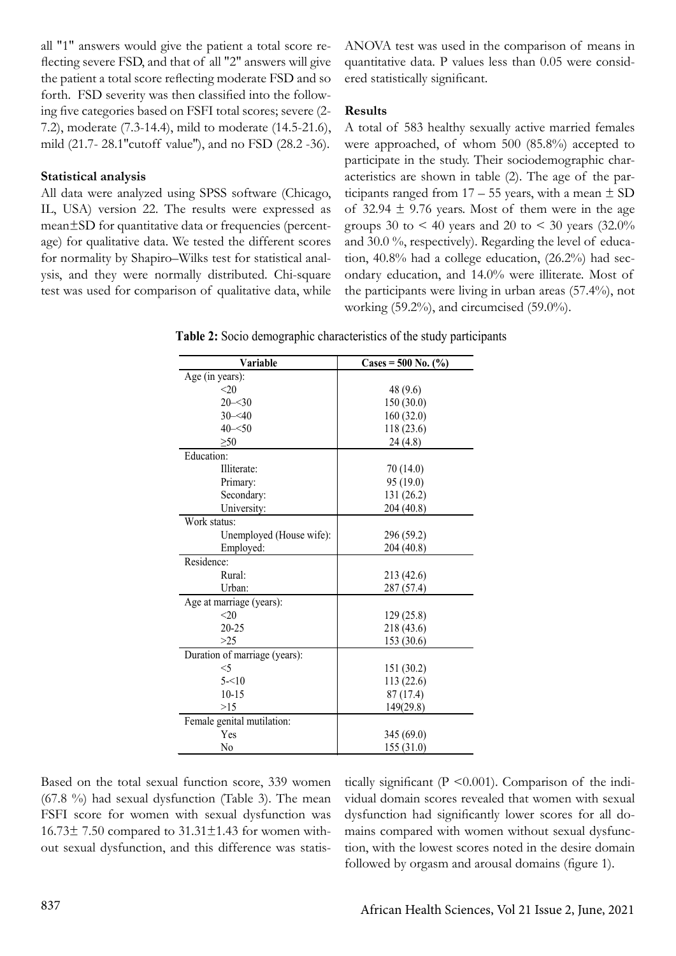all "1" answers would give the patient a total score reflecting severe FSD, and that of all "2" answers will give the patient a total score reflecting moderate FSD and so forth. FSD severity was then classified into the following five categories based on FSFI total scores; severe (2- 7.2), moderate (7.3-14.4), mild to moderate (14.5-21.6), mild (21.7- 28.1''cutoff value''), and no FSD (28.2 -36).

### **Statistical analysis**

All data were analyzed using SPSS software (Chicago, IL, USA) version 22. The results were expressed as mean±SD for quantitative data or frequencies (percentage) for qualitative data. We tested the different scores for normality by Shapiro–Wilks test for statistical analysis, and they were normally distributed. Chi-square test was used for comparison of qualitative data, while ANOVA test was used in the comparison of means in quantitative data. P values less than 0.05 were considered statistically significant.

#### **Results**

A total of 583 healthy sexually active married females were approached, of whom 500 (85.8%) accepted to participate in the study. Their sociodemographic characteristics are shown in table (2). The age of the participants ranged from  $17 - 55$  years, with a mean  $\pm$  SD of 32.94  $\pm$  9.76 years. Most of them were in the age groups 30 to  $\leq$  40 years and 20 to  $\leq$  30 years (32.0%) and 30.0 %, respectively). Regarding the level of education, 40.8% had a college education, (26.2%) had secondary education, and 14.0% were illiterate. Most of the participants were living in urban areas (57.4%), not working (59.2%), and circumcised (59.0%).

**Table 2:** Socio demographic characteristics of the study participants

| Variable                      | $\text{Cases} = 500 \text{ No.} (%)$ |
|-------------------------------|--------------------------------------|
| Age (in years):               |                                      |
| <20                           | 48 (9.6)                             |
| $20 - 30$                     | 150(30.0)                            |
| $30 - 40$                     | 160(32.0)                            |
| $40 - 50$                     | 118 (23.6)                           |
| $\geq 50$                     | 24(4.8)                              |
| Education:                    |                                      |
| Illiterate:                   | 70(14.0)                             |
| Primary:                      | 95(19.0)                             |
| Secondary:                    | 131 (26.2)                           |
| University:                   | 204 (40.8)                           |
| Work status:                  |                                      |
| Unemployed (House wife):      | 296 (59.2)                           |
| Employed:                     | 204 (40.8)                           |
| Residence:                    |                                      |
| Rural:                        | 213 (42.6)                           |
| Urban:                        | 287 (57.4)                           |
| Age at marriage (years):      |                                      |
| <20                           | 129 (25.8)                           |
| $20 - 25$                     | 218 (43.6)                           |
| >25                           | 153 (30.6)                           |
| Duration of marriage (years): |                                      |
| $<$ 5                         | 151 (30.2)                           |
| $5 - 10$                      | 113 (22.6)                           |
| $10 - 15$                     | 87(17.4)                             |
| >15                           | 149(29.8)                            |
| Female genital mutilation:    |                                      |
| Yes                           | 345 (69.0)                           |
| N <sub>0</sub>                | 155(31.0)                            |

Based on the total sexual function score, 339 women (67.8 %) had sexual dysfunction (Table 3). The mean FSFI score for women with sexual dysfunction was  $16.73 \pm 7.50$  compared to  $31.31 \pm 1.43$  for women without sexual dysfunction, and this difference was statistically significant ( $P \le 0.001$ ). Comparison of the individual domain scores revealed that women with sexual dysfunction had significantly lower scores for all domains compared with women without sexual dysfunction, with the lowest scores noted in the desire domain followed by orgasm and arousal domains (figure 1).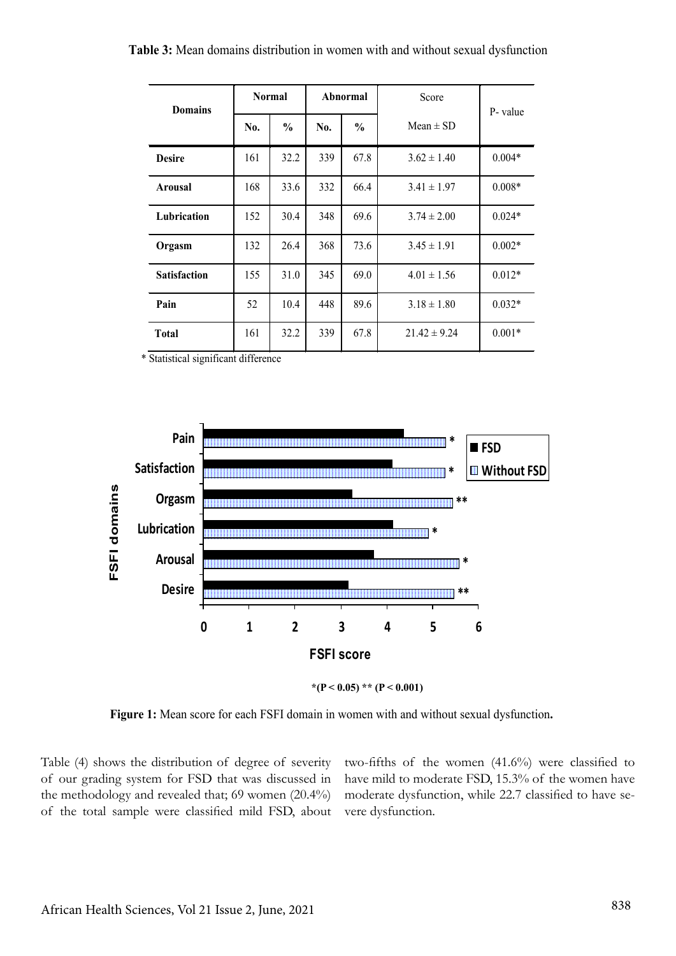| <b>Table 3:</b> Mean domains distribution in women with and without sexual dysfunction |  |  |  |  |  |  |  |
|----------------------------------------------------------------------------------------|--|--|--|--|--|--|--|
|----------------------------------------------------------------------------------------|--|--|--|--|--|--|--|

| <b>Domains</b>      | <b>Normal</b> |               | Abnormal |               | Score            | P-value  |  |
|---------------------|---------------|---------------|----------|---------------|------------------|----------|--|
|                     | No.           | $\frac{0}{0}$ | No.      | $\frac{0}{0}$ | Mean $\pm$ SD    |          |  |
| <b>Desire</b>       | 161           | 32.2          | 339      | 67.8          | $3.62 \pm 1.40$  | $0.004*$ |  |
| Arousal             | 168           | 33.6          | 332      | 66.4          | $3.41 \pm 1.97$  | $0.008*$ |  |
| Lubrication         | 152           | 30.4          | 348      | 69.6          | $3.74 \pm 2.00$  | $0.024*$ |  |
| Orgasm              | 132           | 26.4          | 368      | 73.6          | $3.45 \pm 1.91$  | $0.002*$ |  |
| <b>Satisfaction</b> | 155           | 31.0          | 345      | 69.0          | $4.01 \pm 1.56$  | $0.012*$ |  |
| Pain                | 52            | 10.4          | 448      | 89.6          | $3.18 \pm 1.80$  | $0.032*$ |  |
| <b>Total</b>        | 161           | 32.2          | 339      | 67.8          | $21.42 \pm 9.24$ | $0.001*$ |  |

\* Statistical significant difference



\* $(P < 0.05)$  \*\*  $(P < 0.001)$ 

**Figure 1:** Mean score for each FSFI domain in women with and without sexual dysfunction**.**

Table (4) shows the distribution of degree of severity of our grading system for FSD that was discussed in the methodology and revealed that; 69 women (20.4%) of the total sample were classified mild FSD, about two-fifths of the women (41.6%) were classified to have mild to moderate FSD, 15.3% of the women have moderate dysfunction, while 22.7 classified to have severe dysfunction.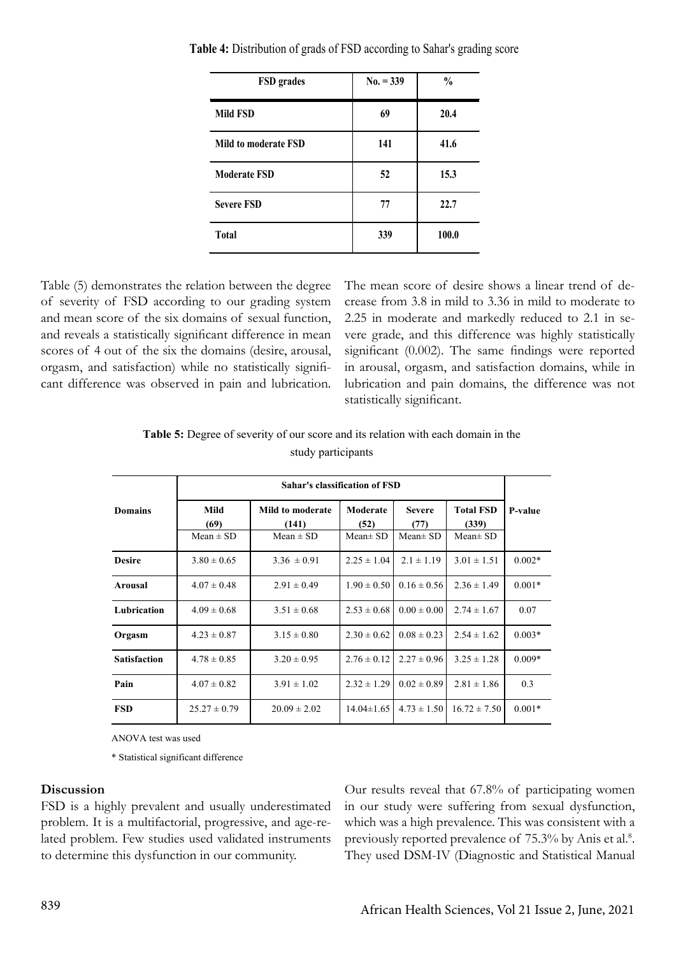| <b>FSD</b> grades    | $No. = 339$ | $\frac{0}{0}$ |
|----------------------|-------------|---------------|
| Mild FSD             | 69          | 20.4          |
| Mild to moderate FSD | 141         | 41.6          |
| <b>Moderate FSD</b>  | 52          | 15.3          |
| <b>Severe FSD</b>    | 77          | 22.7          |
| <b>Total</b>         | 339         | 100.0         |

 **Table 4:** Distribution of grads of FSD according to Sahar's grading score

Table (5) demonstrates the relation between the degree of severity of FSD according to our grading system and mean score of the six domains of sexual function, and reveals a statistically significant difference in mean scores of 4 out of the six the domains (desire, arousal, orgasm, and satisfaction) while no statistically significant difference was observed in pain and lubrication.

The mean score of desire shows a linear trend of decrease from 3.8 in mild to 3.36 in mild to moderate to 2.25 in moderate and markedly reduced to 2.1 in severe grade, and this difference was highly statistically significant (0.002). The same findings were reported in arousal, orgasm, and satisfaction domains, while in lubrication and pain domains, the difference was not statistically significant.

| <b>Table 5:</b> Degree of severity of our score and its relation with each domain in the |
|------------------------------------------------------------------------------------------|
| study participants                                                                       |

|                     | <b>Sahar's classification of FSD</b> |                                            |                                   |                                        |                                            |                |  |  |
|---------------------|--------------------------------------|--------------------------------------------|-----------------------------------|----------------------------------------|--------------------------------------------|----------------|--|--|
| <b>Domains</b>      | Mild<br>(69)<br>Mean $\pm$ SD        | Mild to moderate<br>(141)<br>Mean $\pm$ SD | Moderate<br>(52)<br>Mean $\pm$ SD | <b>Severe</b><br>(77)<br>Mean $\pm$ SD | <b>Total FSD</b><br>(339)<br>Mean $\pm$ SD | <b>P-value</b> |  |  |
| <b>Desire</b>       | $3.80 \pm 0.65$                      | $3.36 \pm 0.91$                            | $2.25 \pm 1.04$                   | $2.1 \pm 1.19$                         | $3.01 \pm 1.51$                            | $0.002*$       |  |  |
| <b>Arousal</b>      | $4.07 \pm 0.48$                      | $2.91 \pm 0.49$                            | $1.90 \pm 0.50$                   | $0.16 \pm 0.56$                        | $2.36 \pm 1.49$                            | $0.001*$       |  |  |
| Lubrication         | $4.09 \pm 0.68$                      | $3.51 \pm 0.68$                            | $2.53 \pm 0.68$                   | $0.00 \pm 0.00$                        | $2.74 \pm 1.67$                            | 0.07           |  |  |
| Orgasm              | $4.23 \pm 0.87$                      | $3.15 \pm 0.80$                            | $2.30 \pm 0.62$                   | $0.08 \pm 0.23$                        | $2.54 \pm 1.62$                            | $0.003*$       |  |  |
| <b>Satisfaction</b> | $4.78 \pm 0.85$                      | $3.20 \pm 0.95$                            | $2.76 \pm 0.12$                   | $2.27 \pm 0.96$                        | $3.25 \pm 1.28$                            | $0.009*$       |  |  |
| Pain                | $4.07 \pm 0.82$                      | $3.91 \pm 1.02$                            | $2.32 \pm 1.29$                   | $0.02 \pm 0.89$                        | $2.81 \pm 1.86$                            | 0.3            |  |  |
| <b>FSD</b>          | $25.27 \pm 0.79$                     | $20.09 \pm 2.02$                           | $14.04\pm1.65$                    | $4.73 \pm 1.50$                        | $16.72 \pm 7.50$                           | $0.001*$       |  |  |

ANOVA test was used

\* Statistical significant difference

#### **Discussion**

FSD is a highly prevalent and usually underestimated problem. It is a multifactorial, progressive, and age-related problem. Few studies used validated instruments to determine this dysfunction in our community.

Our results reveal that 67.8% of participating women in our study were suffering from sexual dysfunction, which was a high prevalence. This was consistent with a previously reported prevalence of 75.3% by Anis et al.<sup>8</sup>. They used DSM-IV (Diagnostic and Statistical Manual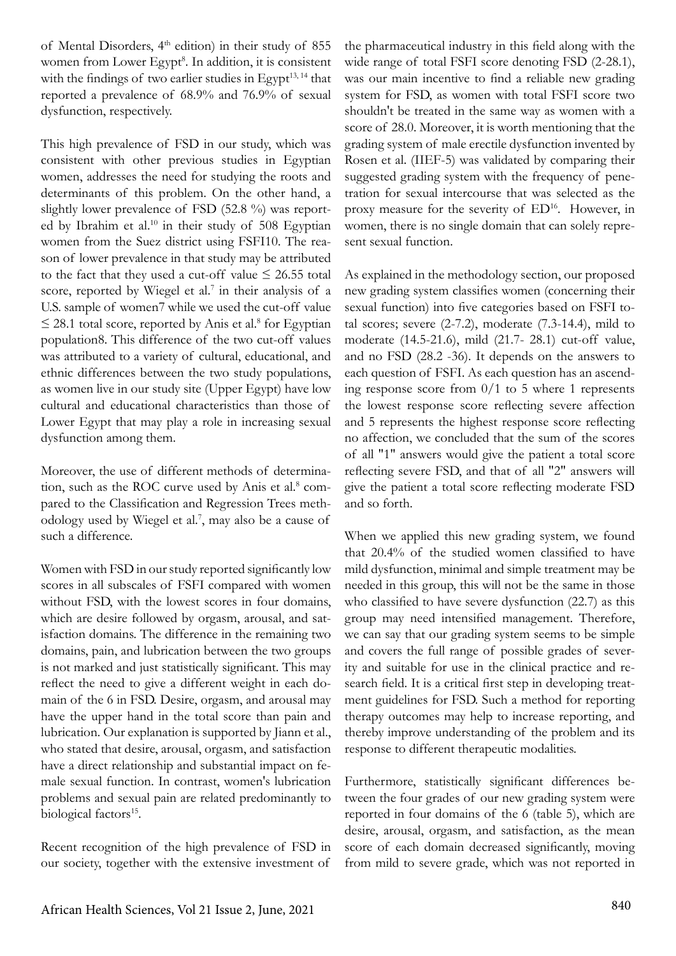of Mental Disorders, 4th edition) in their study of 855 women from Lower Egypt<sup>8</sup>. In addition, it is consistent with the findings of two earlier studies in Egypt<sup>13, 14</sup> that reported a prevalence of 68.9% and 76.9% of sexual dysfunction, respectively.

This high prevalence of FSD in our study, which was consistent with other previous studies in Egyptian women, addresses the need for studying the roots and determinants of this problem. On the other hand, a slightly lower prevalence of FSD (52.8 %) was reported by Ibrahim et al.<sup>10</sup> in their study of 508 Egyptian women from the Suez district using FSFI10. The reason of lower prevalence in that study may be attributed to the fact that they used a cut-off value  $\leq 26.55$  total score, reported by Wiegel et al.<sup>7</sup> in their analysis of a U.S. sample of women7 while we used the cut-off value  $\leq$  28.1 total score, reported by Anis et al.<sup>8</sup> for Egyptian population8. This difference of the two cut-off values was attributed to a variety of cultural, educational, and ethnic differences between the two study populations, as women live in our study site (Upper Egypt) have low cultural and educational characteristics than those of Lower Egypt that may play a role in increasing sexual dysfunction among them.

Moreover, the use of different methods of determination, such as the ROC curve used by Anis et al.<sup>8</sup> compared to the Classification and Regression Trees methodology used by Wiegel et al.<sup>7</sup>, may also be a cause of such a difference.

Women with FSD in our study reported significantly low scores in all subscales of FSFI compared with women without FSD, with the lowest scores in four domains, which are desire followed by orgasm, arousal, and satisfaction domains. The difference in the remaining two domains, pain, and lubrication between the two groups is not marked and just statistically significant. This may reflect the need to give a different weight in each domain of the 6 in FSD. Desire, orgasm, and arousal may have the upper hand in the total score than pain and lubrication. Our explanation is supported by Jiann et al., who stated that desire, arousal, orgasm, and satisfaction have a direct relationship and substantial impact on female sexual function. In contrast, women's lubrication problems and sexual pain are related predominantly to biological factors<sup>15</sup>.

Recent recognition of the high prevalence of FSD in our society, together with the extensive investment of the pharmaceutical industry in this field along with the wide range of total FSFI score denoting FSD (2-28.1), was our main incentive to find a reliable new grading system for FSD, as women with total FSFI score two shouldn't be treated in the same way as women with a score of 28.0. Moreover, it is worth mentioning that the grading system of male erectile dysfunction invented by Rosen et al. (IIEF-5) was validated by comparing their suggested grading system with the frequency of penetration for sexual intercourse that was selected as the proxy measure for the severity of ED<sup>16</sup>. However, in women, there is no single domain that can solely represent sexual function.

As explained in the methodology section, our proposed new grading system classifies women (concerning their sexual function) into five categories based on FSFI total scores; severe  $(2-7.2)$ , moderate  $(7.3-14.4)$ , mild to moderate (14.5-21.6), mild (21.7- 28.1) cut-off value, and no FSD (28.2 -36). It depends on the answers to each question of FSFI. As each question has an ascending response score from  $0/1$  to 5 where 1 represents the lowest response score reflecting severe affection and 5 represents the highest response score reflecting no affection, we concluded that the sum of the scores of all "1" answers would give the patient a total score reflecting severe FSD, and that of all "2" answers will give the patient a total score reflecting moderate FSD and so forth.

When we applied this new grading system, we found that 20.4% of the studied women classified to have mild dysfunction, minimal and simple treatment may be needed in this group, this will not be the same in those who classified to have severe dysfunction (22.7) as this group may need intensified management. Therefore, we can say that our grading system seems to be simple and covers the full range of possible grades of severity and suitable for use in the clinical practice and research field. It is a critical first step in developing treatment guidelines for FSD. Such a method for reporting therapy outcomes may help to increase reporting, and thereby improve understanding of the problem and its response to different therapeutic modalities.

Furthermore, statistically significant differences between the four grades of our new grading system were reported in four domains of the 6 (table 5), which are desire, arousal, orgasm, and satisfaction, as the mean score of each domain decreased significantly, moving from mild to severe grade, which was not reported in